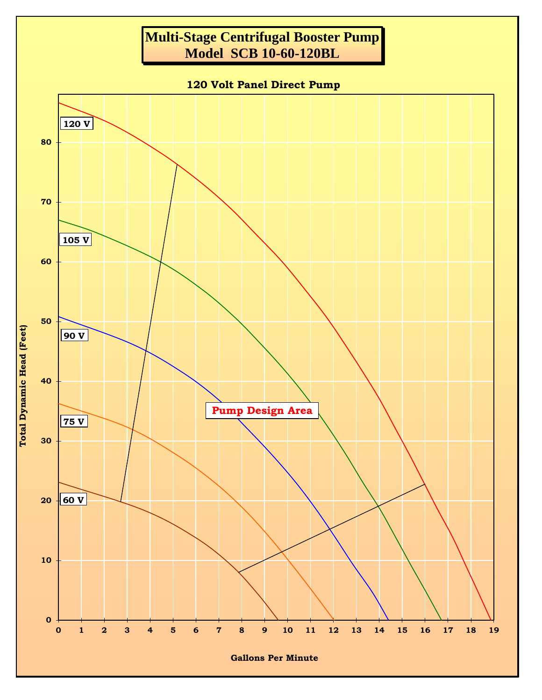